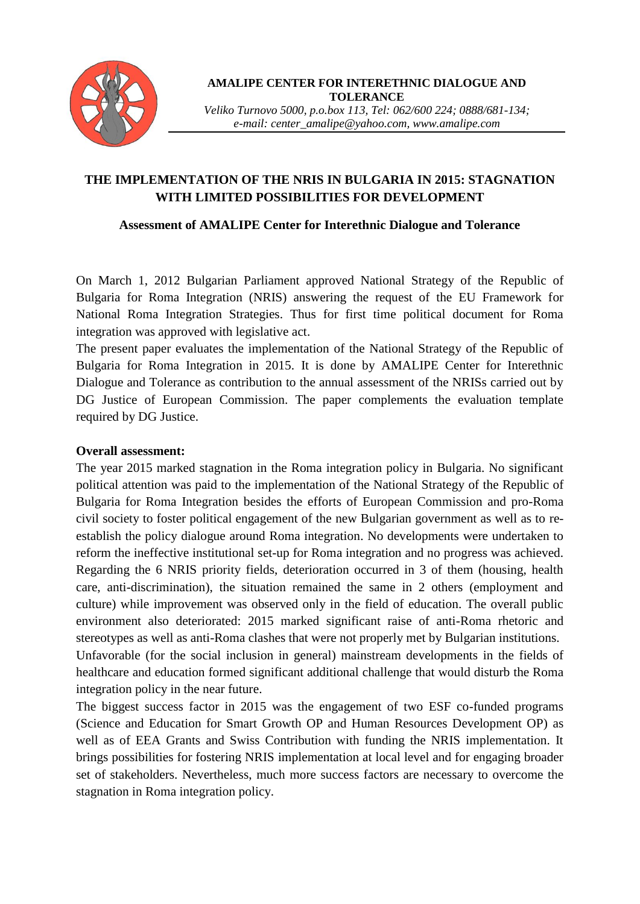

**AMALIPE CENTER FOR INTERETHNIC DIALOGUE AND TOLERANCE**

*Veliko Turnovo 5000, p.o.box 113, Tel: 062/600 224; 0888/681-134; e-mail: center\_amalipe@yahoo.com, www.amalipe.com*

## **THE IMPLEMENTATION OF THE NRIS IN BULGARIA IN 2015: STAGNATION WITH LIMITED POSSIBILITIES FOR DEVELOPMENT**

### **Assessment of AMALIPE Center for Interethnic Dialogue and Tolerance**

On March 1, 2012 Bulgarian Parliament approved National Strategy of the Republic of Bulgaria for Roma Integration (NRIS) answering the request of the EU Framework for National Roma Integration Strategies. Thus for first time political document for Roma integration was approved with legislative act.

The present paper evaluates the implementation of the National Strategy of the Republic of Bulgaria for Roma Integration in 2015. It is done by AMALIPE Center for Interethnic Dialogue and Tolerance as contribution to the annual assessment of the NRISs carried out by DG Justice of European Commission. The paper complements the evaluation template required by DG Justice.

### **Overall assessment:**

The year 2015 marked stagnation in the Roma integration policy in Bulgaria. No significant political attention was paid to the implementation of the National Strategy of the Republic of Bulgaria for Roma Integration besides the efforts of European Commission and pro-Roma civil society to foster political engagement of the new Bulgarian government as well as to reestablish the policy dialogue around Roma integration. No developments were undertaken to reform the ineffective institutional set-up for Roma integration and no progress was achieved. Regarding the 6 NRIS priority fields, deterioration occurred in 3 of them (housing, health care, anti-discrimination), the situation remained the same in 2 others (employment and culture) while improvement was observed only in the field of education. The overall public environment also deteriorated: 2015 marked significant raise of anti-Roma rhetoric and stereotypes as well as anti-Roma clashes that were not properly met by Bulgarian institutions. Unfavorable (for the social inclusion in general) mainstream developments in the fields of healthcare and education formed significant additional challenge that would disturb the Roma integration policy in the near future.

The biggest success factor in 2015 was the engagement of two ESF co-funded programs (Science and Education for Smart Growth OP and Human Resources Development OP) as well as of EEA Grants and Swiss Contribution with funding the NRIS implementation. It brings possibilities for fostering NRIS implementation at local level and for engaging broader set of stakeholders. Nevertheless, much more success factors are necessary to overcome the stagnation in Roma integration policy.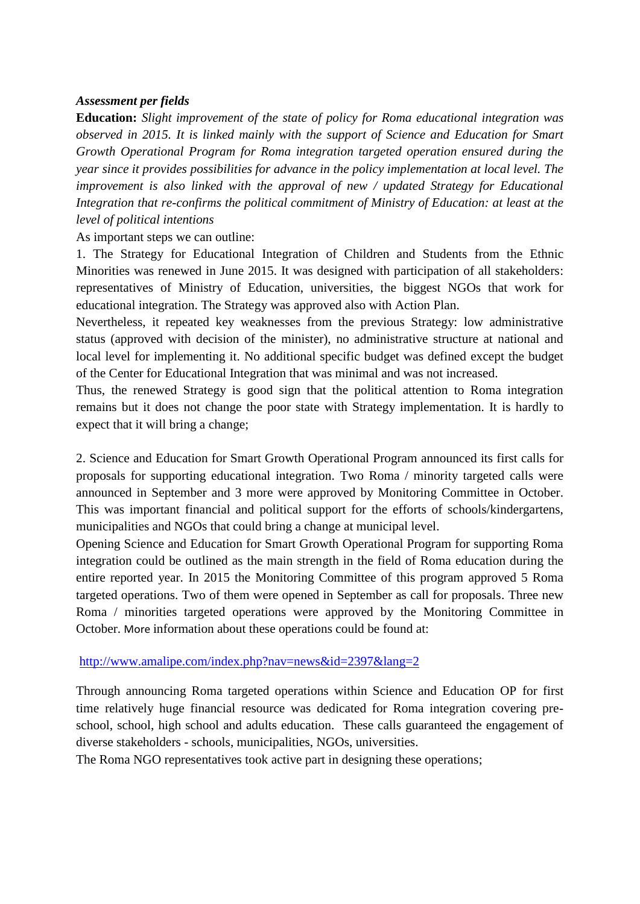### *Assessment per fields*

**Education:** *Slight improvement of the state of policy for Roma educational integration was observed in 2015. It is linked mainly with the support of Science and Education for Smart Growth Operational Program for Roma integration targeted operation ensured during the year since it provides possibilities for advance in the policy implementation at local level. The improvement is also linked with the approval of new / updated Strategy for Educational Integration that re-confirms the political commitment of Ministry of Education: at least at the level of political intentions*

As important steps we can outline:

1. The Strategy for Educational Integration of Children and Students from the Ethnic Minorities was renewed in June 2015. It was designed with participation of all stakeholders: representatives of Ministry of Education, universities, the biggest NGOs that work for educational integration. The Strategy was approved also with Action Plan.

Nevertheless, it repeated key weaknesses from the previous Strategy: low administrative status (approved with decision of the minister), no administrative structure at national and local level for implementing it. No additional specific budget was defined except the budget of the Center for Educational Integration that was minimal and was not increased.

Thus, the renewed Strategy is good sign that the political attention to Roma integration remains but it does not change the poor state with Strategy implementation. It is hardly to expect that it will bring a change;

2. Science and Education for Smart Growth Operational Program announced its first calls for proposals for supporting educational integration. Two Roma / minority targeted calls were announced in September and 3 more were approved by Monitoring Committee in October. This was important financial and political support for the efforts of schools/kindergartens, municipalities and NGOs that could bring a change at municipal level.

Opening Science and Education for Smart Growth Operational Program for supporting Roma integration could be outlined as the main strength in the field of Roma education during the entire reported year. In 2015 the Monitoring Committee of this program approved 5 Roma targeted operations. Two of them were opened in September as call for proposals. Three new Roma / minorities targeted operations were approved by the Monitoring Committee in October. More information about these operations could be found at:

#### <http://www.amalipe.com/index.php?nav=news&id=2397&lang=2>

Through announcing Roma targeted operations within Science and Education OP for first time relatively huge financial resource was dedicated for Roma integration covering preschool, school, high school and adults education. These calls guaranteed the engagement of diverse stakeholders - schools, municipalities, NGOs, universities.

The Roma NGO representatives took active part in designing these operations;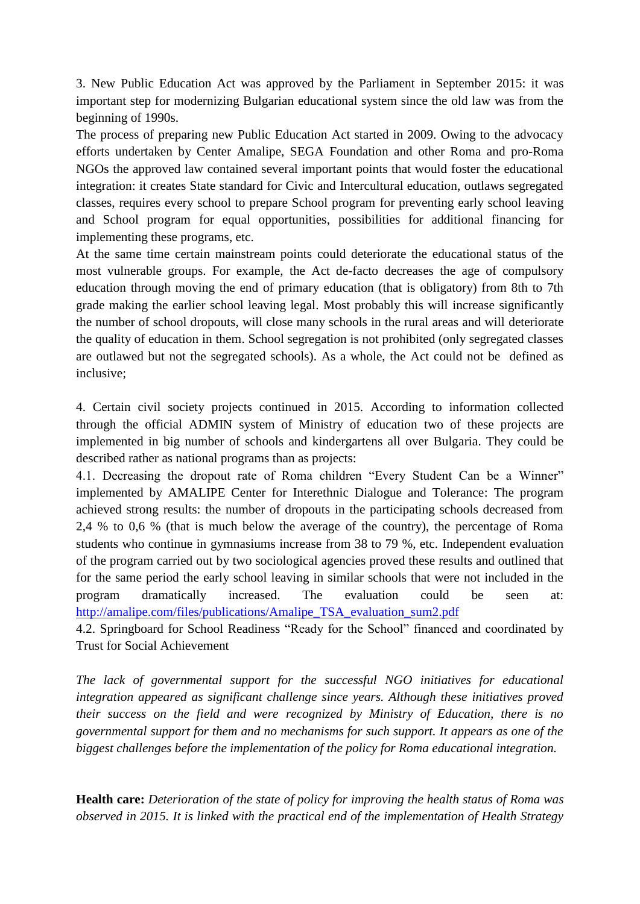3. New Public Education Act was approved by the Parliament in September 2015: it was important step for modernizing Bulgarian educational system since the old law was from the beginning of 1990s.

The process of preparing new Public Education Act started in 2009. Owing to the advocacy efforts undertaken by Center Amalipe, SEGA Foundation and other Roma and pro-Roma NGOs the approved law contained several important points that would foster the educational integration: it creates State standard for Civic and Intercultural education, outlaws segregated classes, requires every school to prepare School program for preventing early school leaving and School program for equal opportunities, possibilities for additional financing for implementing these programs, etc.

At the same time certain mainstream points could deteriorate the educational status of the most vulnerable groups. For example, the Act de-facto decreases the age of compulsory education through moving the end of primary education (that is obligatory) from 8th to 7th grade making the earlier school leaving legal. Most probably this will increase significantly the number of school dropouts, will close many schools in the rural areas and will deteriorate the quality of education in them. School segregation is not prohibited (only segregated classes are outlawed but not the segregated schools). As a whole, the Act could not be defined as inclusive;

4. Certain civil society projects continued in 2015. According to information collected through the official ADMIN system of Ministry of education two of these projects are implemented in big number of schools and kindergartens all over Bulgaria. They could be described rather as national programs than as projects:

4.1. Decreasing the dropout rate of Roma children "Every Student Can be a Winner" implemented by AMALIPE Center for Interethnic Dialogue and Tolerance: The program achieved strong results: the number of dropouts in the participating schools decreased from 2,4 % to 0,6 % (that is much below the average of the country), the percentage of Roma students who continue in gymnasiums increase from 38 to 79 %, etc. Independent evaluation of the program carried out by two sociological agencies proved these results and outlined that for the same period the early school leaving in similar schools that were not included in the program dramatically increased. The evaluation could be seen at: [http://amalipe.com/files/publications/Amalipe\\_TSA\\_evaluation\\_sum2.pdf](http://amalipe.com/files/publications/Amalipe_TSA_evaluation_sum2.pdf)

4.2. Springboard for School Readiness "Ready for the School" financed and coordinated by Trust for Social Achievement

*The lack of governmental support for the successful NGO initiatives for educational integration appeared as significant challenge since years. Although these initiatives proved their success on the field and were recognized by Ministry of Education, there is no governmental support for them and no mechanisms for such support. It appears as one of the biggest challenges before the implementation of the policy for Roma educational integration.* 

**Health care:** *Deterioration of the state of policy for improving the health status of Roma was observed in 2015. It is linked with the practical end of the implementation of Health Strategy*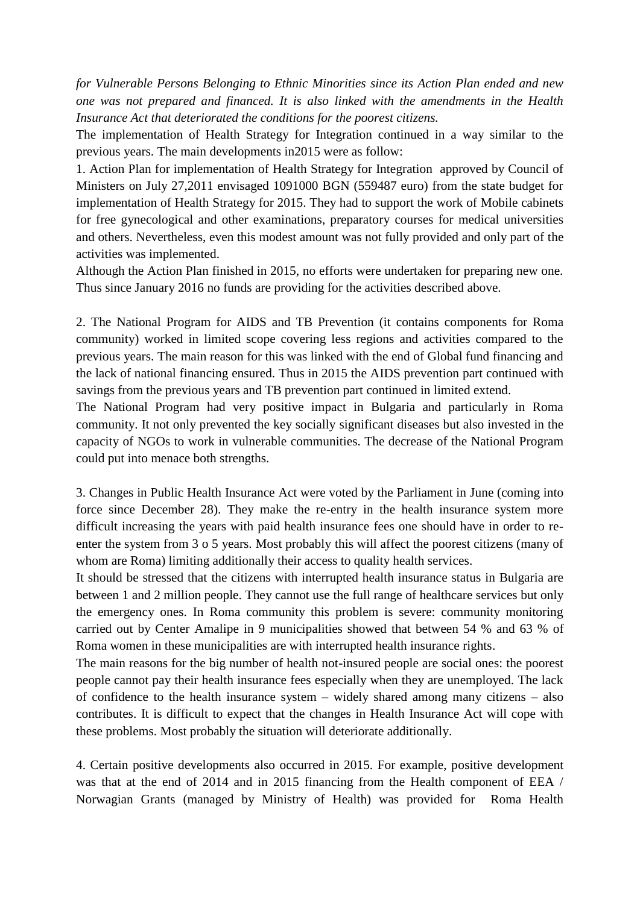*for Vulnerable Persons Belonging to Ethnic Minorities since its Action Plan ended and new one was not prepared and financed. It is also linked with the amendments in the Health Insurance Act that deteriorated the conditions for the poorest citizens.*

The implementation of Health Strategy for Integration continued in a way similar to the previous years. The main developments in2015 were as follow:

1. Action Plan for implementation of Health Strategy for Integration approved by Council of Ministers on July 27,2011 envisaged 1091000 BGN (559487 euro) from the state budget for implementation of Health Strategy for 2015. They had to support the work of Mobile cabinets for free gynecological and other examinations, preparatory courses for medical universities and others. Nevertheless, even this modest amount was not fully provided and only part of the activities was implemented.

Although the Action Plan finished in 2015, no efforts were undertaken for preparing new one. Thus since January 2016 no funds are providing for the activities described above.

2. The National Program for AIDS and TB Prevention (it contains components for Roma community) worked in limited scope covering less regions and activities compared to the previous years. The main reason for this was linked with the end of Global fund financing and the lack of national financing ensured. Thus in 2015 the AIDS prevention part continued with savings from the previous years and TB prevention part continued in limited extend.

The National Program had very positive impact in Bulgaria and particularly in Roma community. It not only prevented the key socially significant diseases but also invested in the capacity of NGOs to work in vulnerable communities. The decrease of the National Program could put into menace both strengths.

3. Changes in Public Health Insurance Act were voted by the Parliament in June (coming into force since December 28). They make the re-entry in the health insurance system more difficult increasing the years with paid health insurance fees one should have in order to reenter the system from 3 o 5 years. Most probably this will affect the poorest citizens (many of whom are Roma) limiting additionally their access to quality health services.

It should be stressed that the citizens with interrupted health insurance status in Bulgaria are between 1 and 2 million people. They cannot use the full range of healthcare services but only the emergency ones. In Roma community this problem is severe: community monitoring carried out by Center Amalipe in 9 municipalities showed that between 54 % and 63 % of Roma women in these municipalities are with interrupted health insurance rights.

The main reasons for the big number of health not-insured people are social ones: the poorest people cannot pay their health insurance fees especially when they are unemployed. The lack of confidence to the health insurance system – widely shared among many citizens – also contributes. It is difficult to expect that the changes in Health Insurance Act will cope with these problems. Most probably the situation will deteriorate additionally.

4. Certain positive developments also occurred in 2015. For example, positive development was that at the end of 2014 and in 2015 financing from the Health component of EEA / Norwagian Grants (managed by Ministry of Health) was provided for Roma Health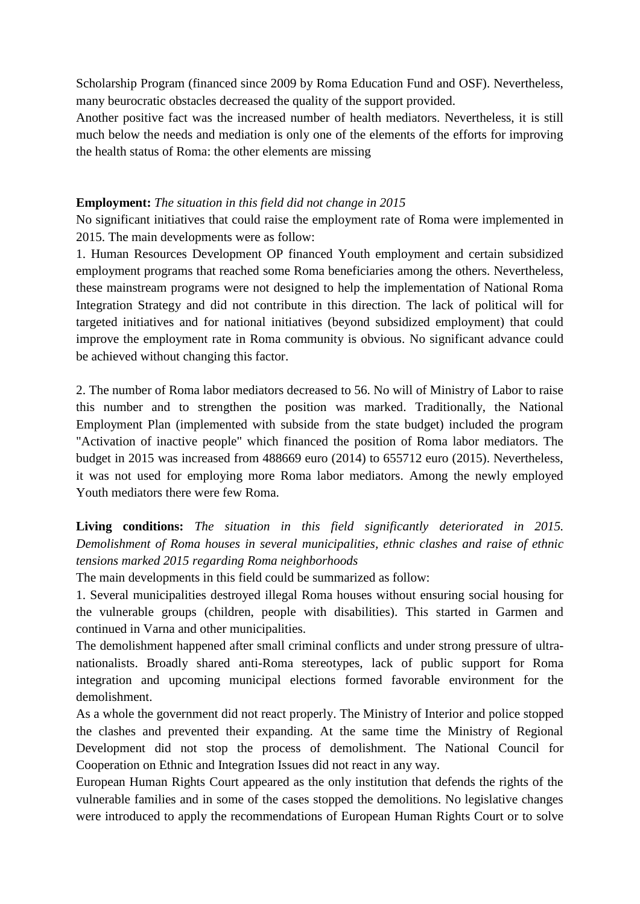Scholarship Program (financed since 2009 by Roma Education Fund and OSF). Nevertheless, many beurocratic obstacles decreased the quality of the support provided.

Another positive fact was the increased number of health mediators. Nevertheless, it is still much below the needs and mediation is only one of the elements of the efforts for improving the health status of Roma: the other elements are missing

### **Employment:** *The situation in this field did not change in 2015*

No significant initiatives that could raise the employment rate of Roma were implemented in 2015. The main developments were as follow:

1. Human Resources Development OP financed Youth employment and certain subsidized employment programs that reached some Roma beneficiaries among the others. Nevertheless, these mainstream programs were not designed to help the implementation of National Roma Integration Strategy and did not contribute in this direction. The lack of political will for targeted initiatives and for national initiatives (beyond subsidized employment) that could improve the employment rate in Roma community is obvious. No significant advance could be achieved without changing this factor.

2. The number of Roma labor mediators decreased to 56. No will of Ministry of Labor to raise this number and to strengthen the position was marked. Traditionally, the National Employment Plan (implemented with subside from the state budget) included the program "Activation of inactive people" which financed the position of Roma labor mediators. The budget in 2015 was increased from 488669 euro (2014) to 655712 euro (2015). Nevertheless, it was not used for employing more Roma labor mediators. Among the newly employed Youth mediators there were few Roma.

# **Living conditions:** *The situation in this field significantly deteriorated in 2015. Demolishment of Roma houses in several municipalities, ethnic clashes and raise of ethnic tensions marked 2015 regarding Roma neighborhoods*

The main developments in this field could be summarized as follow:

1. Several municipalities destroyed illegal Roma houses without ensuring social housing for the vulnerable groups (children, people with disabilities). This started in Garmen and continued in Varna and other municipalities.

The demolishment happened after small criminal conflicts and under strong pressure of ultranationalists. Broadly shared anti-Roma stereotypes, lack of public support for Roma integration and upcoming municipal elections formed favorable environment for the demolishment.

As a whole the government did not react properly. The Ministry of Interior and police stopped the clashes and prevented their expanding. At the same time the Ministry of Regional Development did not stop the process of demolishment. The National Council for Cooperation on Ethnic and Integration Issues did not react in any way.

European Human Rights Court appeared as the only institution that defends the rights of the vulnerable families and in some of the cases stopped the demolitions. No legislative changes were introduced to apply the recommendations of European Human Rights Court or to solve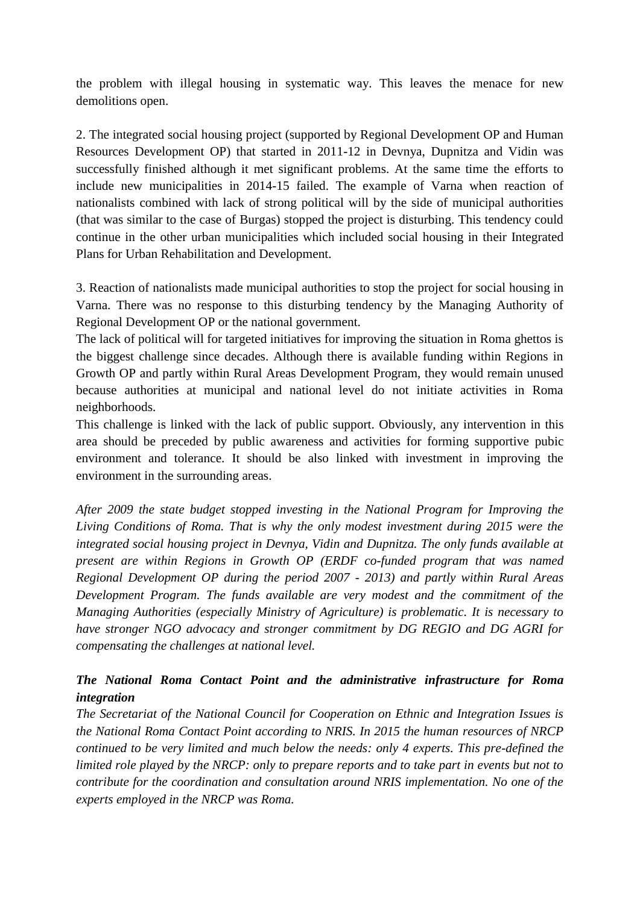the problem with illegal housing in systematic way. This leaves the menace for new demolitions open.

2. The integrated social housing project (supported by Regional Development OP and Human Resources Development OP) that started in 2011-12 in Devnya, Dupnitza and Vidin was successfully finished although it met significant problems. At the same time the efforts to include new municipalities in 2014-15 failed. The example of Varna when reaction of nationalists combined with lack of strong political will by the side of municipal authorities (that was similar to the case of Burgas) stopped the project is disturbing. This tendency could continue in the other urban municipalities which included social housing in their Integrated Plans for Urban Rehabilitation and Development.

3. Reaction of nationalists made municipal authorities to stop the project for social housing in Varna. There was no response to this disturbing tendency by the Managing Authority of Regional Development OP or the national government.

The lack of political will for targeted initiatives for improving the situation in Roma ghettos is the biggest challenge since decades. Although there is available funding within Regions in Growth OP and partly within Rural Areas Development Program, they would remain unused because authorities at municipal and national level do not initiate activities in Roma neighborhoods.

This challenge is linked with the lack of public support. Obviously, any intervention in this area should be preceded by public awareness and activities for forming supportive pubic environment and tolerance. It should be also linked with investment in improving the environment in the surrounding areas.

*After 2009 the state budget stopped investing in the National Program for Improving the Living Conditions of Roma. That is why the only modest investment during 2015 were the integrated social housing project in Devnya, Vidin and Dupnitza. The only funds available at present are within Regions in Growth OP (ERDF co-funded program that was named Regional Development OP during the period 2007 - 2013) and partly within Rural Areas Development Program. The funds available are very modest and the commitment of the Managing Authorities (especially Ministry of Agriculture) is problematic. It is necessary to have stronger NGO advocacy and stronger commitment by DG REGIO and DG AGRI for compensating the challenges at national level.*

# *The National Roma Contact Point and the administrative infrastructure for Roma integration*

*The Secretariat of the National Council for Cooperation on Ethnic and Integration Issues is the National Roma Contact Point according to NRIS. In 2015 the human resources of NRCP continued to be very limited and much below the needs: only 4 experts. This pre-defined the limited role played by the NRCP: only to prepare reports and to take part in events but not to contribute for the coordination and consultation around NRIS implementation. No one of the experts employed in the NRCP was Roma.*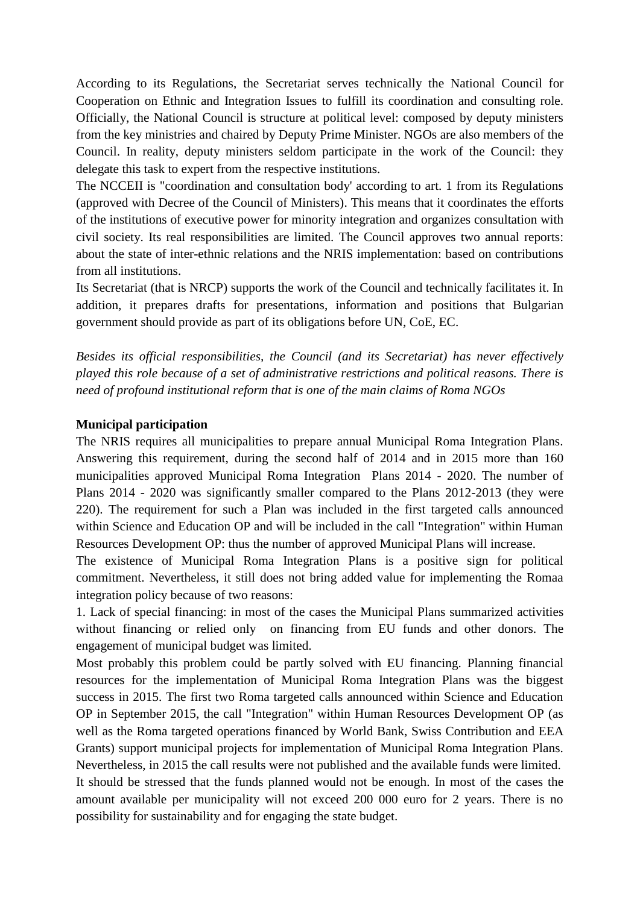According to its Regulations, the Secretariat serves technically the National Council for Cooperation on Ethnic and Integration Issues to fulfill its coordination and consulting role. Officially, the National Council is structure at political level: composed by deputy ministers from the key ministries and chaired by Deputy Prime Minister. NGOs are also members of the Council. In reality, deputy ministers seldom participate in the work of the Council: they delegate this task to expert from the respective institutions.

The NCCEII is "coordination and consultation body' according to art. 1 from its Regulations (approved with Decree of the Council of Ministers). This means that it coordinates the efforts of the institutions of executive power for minority integration and organizes consultation with civil society. Its real responsibilities are limited. The Council approves two annual reports: about the state of inter-ethnic relations and the NRIS implementation: based on contributions from all institutions.

Its Secretariat (that is NRCP) supports the work of the Council and technically facilitates it. In addition, it prepares drafts for presentations, information and positions that Bulgarian government should provide as part of its obligations before UN, CoE, EC.

*Besides its official responsibilities, the Council (and its Secretariat) has never effectively played this role because of a set of administrative restrictions and political reasons. There is need of profound institutional reform that is one of the main claims of Roma NGOs*

#### **Municipal participation**

The NRIS requires all municipalities to prepare annual Municipal Roma Integration Plans. Answering this requirement, during the second half of 2014 and in 2015 more than 160 municipalities approved Municipal Roma Integration Plans 2014 - 2020. The number of Plans 2014 - 2020 was significantly smaller compared to the Plans 2012-2013 (they were 220). The requirement for such a Plan was included in the first targeted calls announced within Science and Education OP and will be included in the call "Integration" within Human Resources Development OP: thus the number of approved Municipal Plans will increase.

The existence of Municipal Roma Integration Plans is a positive sign for political commitment. Nevertheless, it still does not bring added value for implementing the Romaa integration policy because of two reasons:

1. Lack of special financing: in most of the cases the Municipal Plans summarized activities without financing or relied only on financing from EU funds and other donors. The engagement of municipal budget was limited.

Most probably this problem could be partly solved with EU financing. Planning financial resources for the implementation of Municipal Roma Integration Plans was the biggest success in 2015. The first two Roma targeted calls announced within Science and Education OP in September 2015, the call "Integration" within Human Resources Development OP (as well as the Roma targeted operations financed by World Bank, Swiss Contribution and EEA Grants) support municipal projects for implementation of Municipal Roma Integration Plans. Nevertheless, in 2015 the call results were not published and the available funds were limited. It should be stressed that the funds planned would not be enough. In most of the cases the amount available per municipality will not exceed 200 000 euro for 2 years. There is no possibility for sustainability and for engaging the state budget.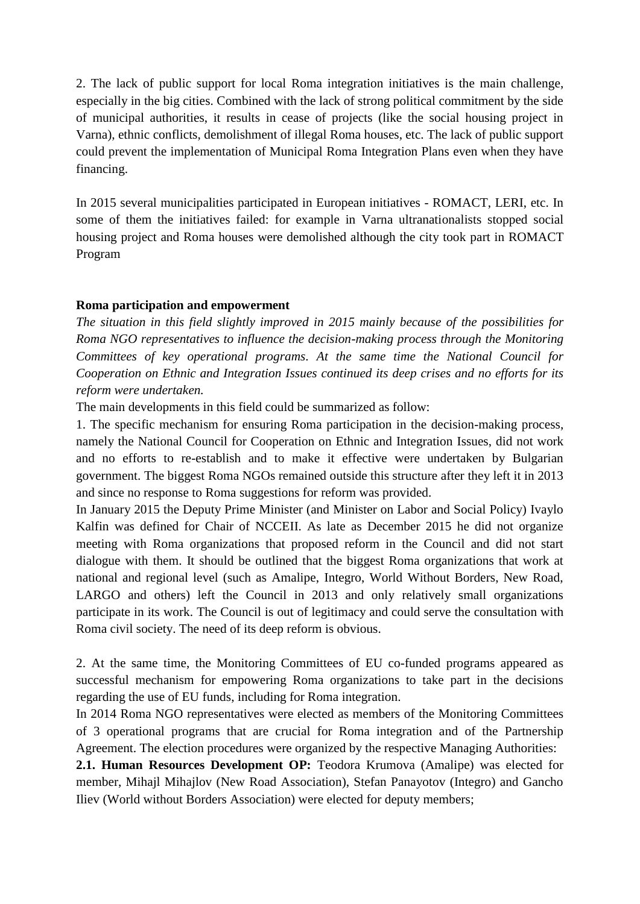2. The lack of public support for local Roma integration initiatives is the main challenge, especially in the big cities. Combined with the lack of strong political commitment by the side of municipal authorities, it results in cease of projects (like the social housing project in Varna), ethnic conflicts, demolishment of illegal Roma houses, etc. The lack of public support could prevent the implementation of Municipal Roma Integration Plans even when they have financing.

In 2015 several municipalities participated in European initiatives - ROMACT, LERI, etc. In some of them the initiatives failed: for example in Varna ultranationalists stopped social housing project and Roma houses were demolished although the city took part in ROMACT Program

### **Roma participation and empowerment**

*The situation in this field slightly improved in 2015 mainly because of the possibilities for Roma NGO representatives to influence the decision-making process through the Monitoring Committees of key operational programs. At the same time the National Council for Cooperation on Ethnic and Integration Issues continued its deep crises and no efforts for its reform were undertaken.*

The main developments in this field could be summarized as follow:

1. The specific mechanism for ensuring Roma participation in the decision-making process, namely the National Council for Cooperation on Ethnic and Integration Issues, did not work and no efforts to re-establish and to make it effective were undertaken by Bulgarian government. The biggest Roma NGOs remained outside this structure after they left it in 2013 and since no response to Roma suggestions for reform was provided.

In January 2015 the Deputy Prime Minister (and Minister on Labor and Social Policy) Ivaylo Kalfin was defined for Chair of NCCEII. As late as December 2015 he did not organize meeting with Roma organizations that proposed reform in the Council and did not start dialogue with them. It should be outlined that the biggest Roma organizations that work at national and regional level (such as Amalipe, Integro, World Without Borders, New Road, LARGO and others) left the Council in 2013 and only relatively small organizations participate in its work. The Council is out of legitimacy and could serve the consultation with Roma civil society. The need of its deep reform is obvious.

2. At the same time, the Monitoring Committees of EU co-funded programs appeared as successful mechanism for empowering Roma organizations to take part in the decisions regarding the use of EU funds, including for Roma integration.

In 2014 Roma NGO representatives were elected as members of the Monitoring Committees of 3 operational programs that are crucial for Roma integration and of the Partnership Agreement. The election procedures were organized by the respective Managing Authorities:

**2.1. Human Resources Development OP:** Teodora Krumova (Amalipe) was elected for member, Mihajl Mihajlov (New Road Association), Stefan Panayotov (Integro) and Gancho Iliev (World without Borders Association) were elected for deputy members;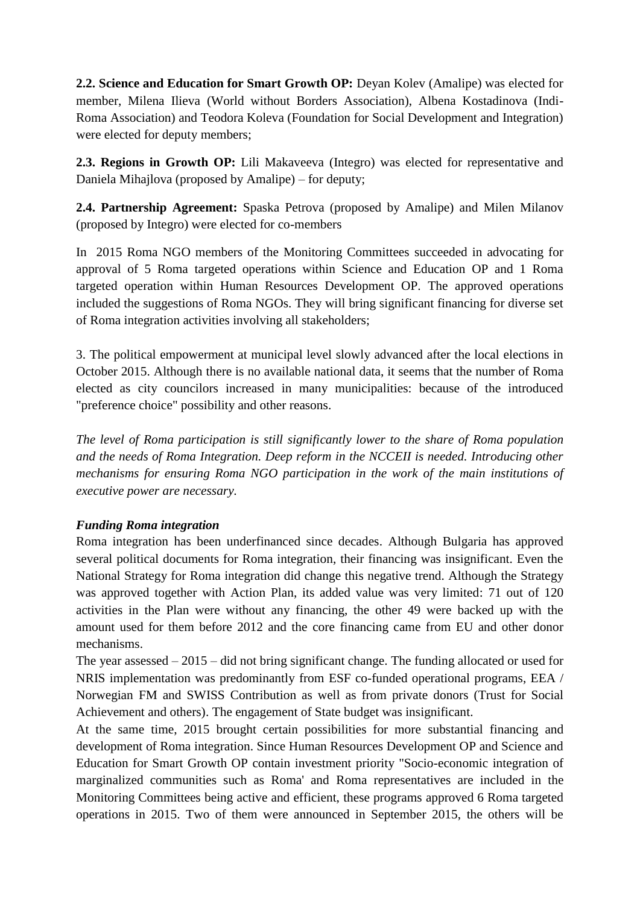**2.2. Science and Education for Smart Growth OP:** Deyan Kolev (Amalipe) was elected for member, Milena Ilieva (World without Borders Association), Albena Kostadinova (Indi-Roma Association) and Teodora Koleva (Foundation for Social Development and Integration) were elected for deputy members;

**2.3. Regions in Growth OP:** Lili Makaveeva (Integro) was elected for representative and Daniela Mihajlova (proposed by Amalipe) – for deputy;

**2.4. Partnership Agreement:** Spaska Petrova (proposed by Amalipe) and Milen Milanov (proposed by Integro) were elected for co-members

In 2015 Roma NGO members of the Monitoring Committees succeeded in advocating for approval of 5 Roma targeted operations within Science and Education OP and 1 Roma targeted operation within Human Resources Development OP. The approved operations included the suggestions of Roma NGOs. They will bring significant financing for diverse set of Roma integration activities involving all stakeholders;

3. The political empowerment at municipal level slowly advanced after the local elections in October 2015. Although there is no available national data, it seems that the number of Roma elected as city councilors increased in many municipalities: because of the introduced "preference choice" possibility and other reasons.

*The level of Roma participation is still significantly lower to the share of Roma population and the needs of Roma Integration. Deep reform in the NCCEII is needed. Introducing other mechanisms for ensuring Roma NGO participation in the work of the main institutions of executive power are necessary.*

## *Funding Roma integration*

Roma integration has been underfinanced since decades. Although Bulgaria has approved several political documents for Roma integration, their financing was insignificant. Even the National Strategy for Roma integration did change this negative trend. Although the Strategy was approved together with Action Plan, its added value was very limited: 71 out of 120 activities in the Plan were without any financing, the other 49 were backed up with the amount used for them before 2012 and the core financing came from EU and other donor mechanisms.

The year assessed  $-2015$  – did not bring significant change. The funding allocated or used for NRIS implementation was predominantly from ESF co-funded operational programs, EEA / Norwegian FM and SWISS Contribution as well as from private donors (Trust for Social Achievement and others). The engagement of State budget was insignificant.

At the same time, 2015 brought certain possibilities for more substantial financing and development of Roma integration. Since Human Resources Development OP and Science and Education for Smart Growth OP contain investment priority "Socio-economic integration of marginalized communities such as Roma' and Roma representatives are included in the Monitoring Committees being active and efficient, these programs approved 6 Roma targeted operations in 2015. Two of them were announced in September 2015, the others will be